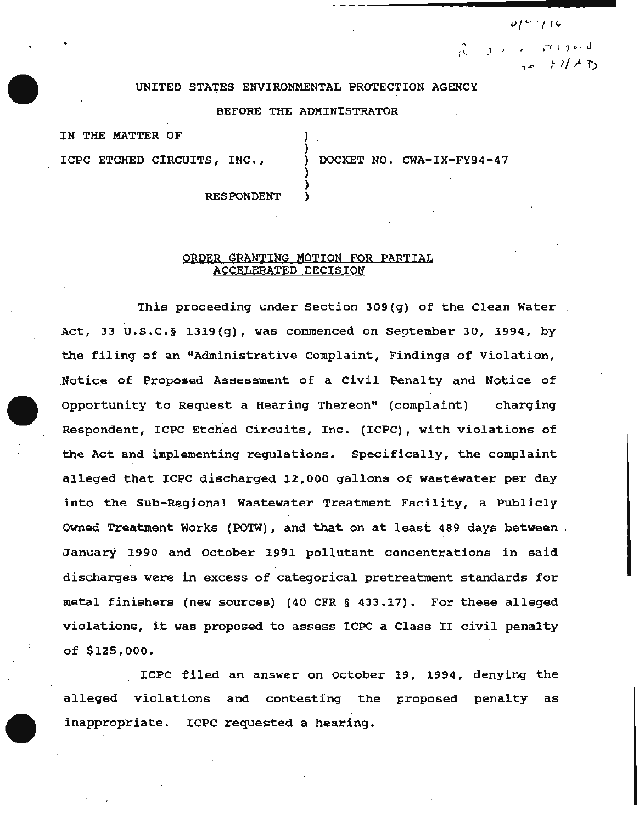## UNITED STATES ENVIRONMENTAL PROTECTION .AGENCY

### BEFORE THE ADMINISTRATOR

) )

) )

IN THE MATTER OF

ICPC ETCHED CIRCUITS, INC., ) DOCKET NO. CWA-IX-FY94-47

 $, j \rightarrow , \tau$  is joint

 $0141116$ 

**RESPONDENT** 

# ORDER GRANTING MOTION FOR PARTIAL ACCELERATED DECISION

This proceeding under Section 309(g) of the Clean Water Act, 33 U.S.C.§  $1319(7)$ , was commenced on September 30, 1994, by the filing of an "Administrative complaint, Findings of Violation, Notice of Proposed Assessment of a Civil Penalty and Notice of Opportunity to Request a Hearlng Thereon" (complaint) charging Respondent, ICPC Etched Circuits, Inc. (ICPC), with violations of the Act and implementing regulations. Specifically, the complaint alleged that ICPC discharged 12,000 gallons of wastewater per day into the Sub-Regional Wastewater Treatment Facility, a Publicly owned Treatment Works (POTW), and that on at least 489 days between January 1990 and October 1991 pollutant concentrations in said discharges were in excess of categorical pretreatment standards for metal finishers (new sources) (40 CFR § 433.17). For these alleged violations, it was proposed to assess ICPC a Class II civil penalty of \$125,000.

ICPC filed an answer on october 19, 1994, denying the alleged violations and contesting the proposed penalty as inappropriate. ICPC requested a hearing.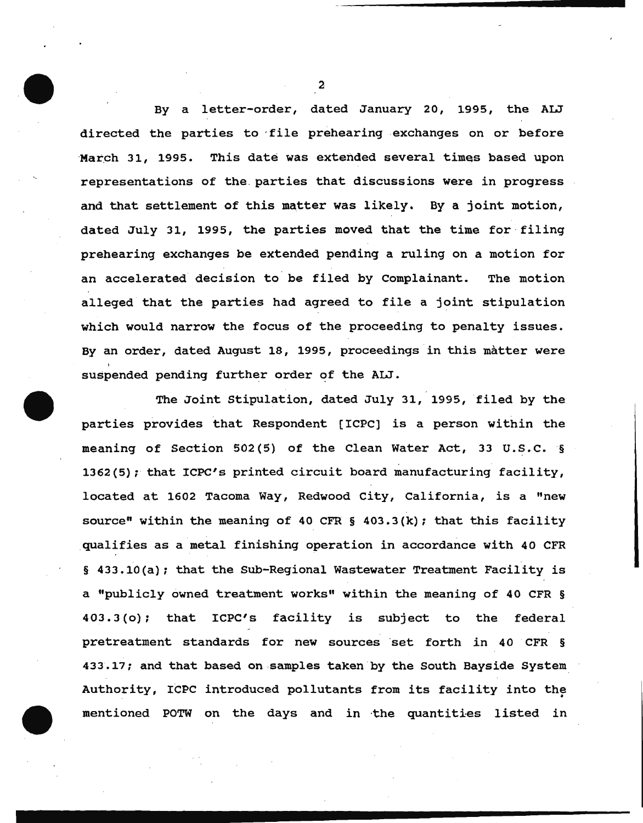By a letter-order, dated January 20, 1995, the ALJ directed the parties to -file prehearing exchanges on or before March 31, 1995. This date was extended several times based upon representations of the. parties that discussions were in progress and that settlement of this matter was likely. By a joint motion, dated July 31, 1995, the parties moved that the time for filing prehearing exchanges be extended pending a ruling on a motion for an accelerated decision to. be filed by Complainant. The motion alleged that the parties had agreed to file a joint stipulation which would narrow the focus of the proceeding to penalty issues. By an order, dated August 18, 1995, proceedings in this matter were suspended pending further order of the ALJ.

The Joint Stipulation, dated July 31, 1995, filed by the parties provides that Respondent [ICPC] is a person within the meaning of Section 502(5) of the Clean Water Act, 33 U.S.C. § 1362(5); that ICPC's printed circuit board manufacturing facility, located at 1602 Tacoma Way, Redwood City, California, is a "new source" within the meaning of 40 CFR  $\S$  403.3(k); that this facility qualifies as a metal finishing operation in accordance with 40 CFR § 433.10(a); that the Sub-Regional Wastewater Treatment Facility is a "publicly owned treatment works" within the meaning of 40 CFR § 403.3(o); that ICPC's facility is subject to the federal pretreatment standards for new sources ·set forth *in* 40 CFR § 433.17; and that based on samples taken by the South Bayside System Authority, ICPC introduced pollutants from its facility into the mentioned POTW on the days and in the quantities listed in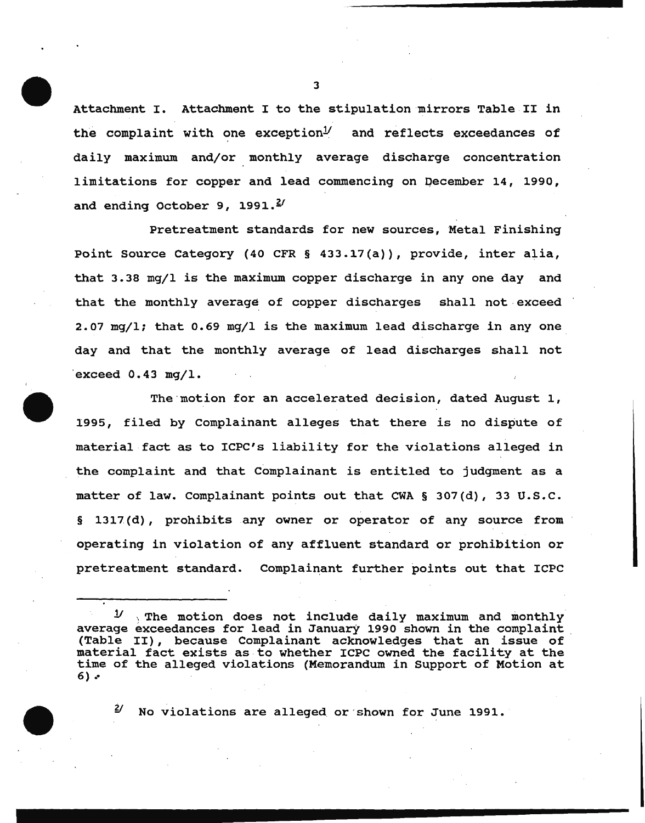Attachment I. Attachment I to the stipulation mirrors Table II in the complaint with one exception $\mathcal{Y}$  and reflects exceedances of daily maximum and/or monthly average discharge concentration limitations for copper and lead commencing on Qecember 14, 1990, and ending October 9, 1991. $\frac{2}{3}$ 

Pretreatment standards for new sources, Metal Finishing Point Source Category (40 CFR § 433.17(a)), provide, inter alia, that 3.38 mg/1 is the maximum copper discharge in any one day and that the monthly average of copper discharges shall not. exceed  $2.07$  mg/l; that  $0.69$  mg/l is the maximum lead discharge in any one day and that the monthly average of lead discharges shall not exceed  $0.43$  mg/l.

The·motion for an accelerated decision, dated August 1, 1995, filed by Complainant alleges that there is no dispute of material fact as to ICPC's liability for the violations alleged in the complaint and that Complainant is entitled to judgment as a matter of law. Complainant points out that CWA § 307(d), 33 u.s.c. § 1317(d), prohibits any owner or operator of any source from operating in violation of any affluent standard or prohibition or pretreatment standard. Complainant further points out that ICPC

<sup>11</sup>; The motion does not include daily maximum and monthly average exceedances for lead in January 1990 shown in the complaint . (Table II), because Complainant acknowledges that an issue of material fact exists as to whether ICPC owned the facility at the time of the alleged violations (Memorandum in Support of Motion at 6)  $\cdot$ 

*Y* No violations are alleged or·shown for June 1991.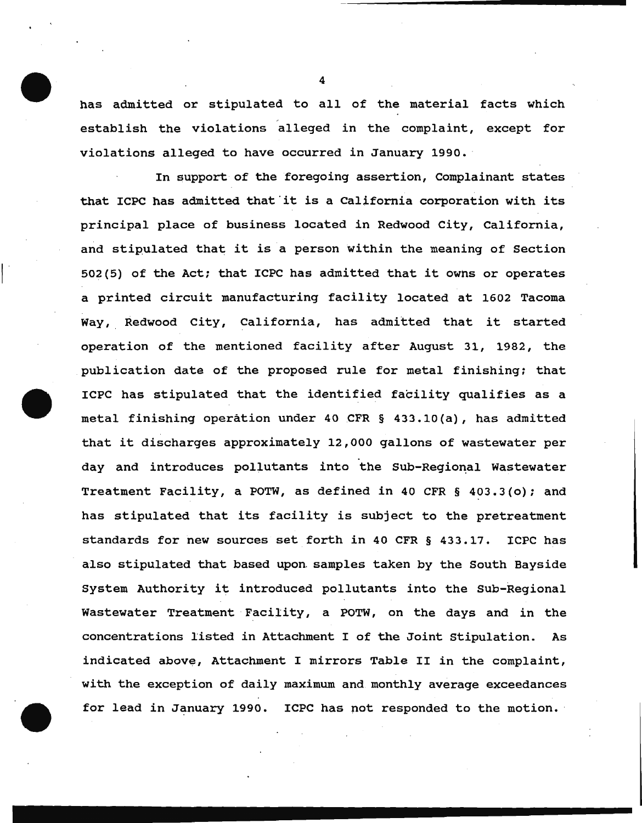has admitted or stipulated to all of the material facts which establish the violations alleged in the complaint, except for violations alleged to have occurred in January 1990.

 $\vert$ 

In support of the foregoing assertion, Complainant states that ICPC has admitted that'it is a California corporation with its principal place of business located in Redwood City, California, and stipulated that it is a person within the meaning of Section 502(5) of the Act; that ICPC has admitted that it owhs or operates a printed circuit manufacturing facility located at 1602 Tacoma Way, Redwood City, California, has admitted that it started operation of the mentioned facility after August 31, 1982, the publication date of the proposed rule for metal finishing: that ICPC has stipulated that the identified facility qualifies as a metal finishing operation under 40 CFR § 433.10(a), has admitted that it discharges approximately 12,000 gallons of wastewater per day and introduces pollutants into the Sub-Regional Wastewater Treatment Facility, a POTW, as defined in 40 CFR § 403.3(o); and has stipulated that its facility is subject to the pretreatment standards for new sources set forth in 40 CFR § 433.17. ICPC has also stipulated that based upon. samples taken by the South Bayside system Authority it introduced pollutants into the Sub-Regional Wastewater Treatment Facility, a POTW, on the days and in the concentrations 1isted in Attachment I of the Joint stipulation. As indicated above, Attachment I mirrors Table II in the complaint, with the exception of daily maximum and. monthly average exceedances for lead in January 1990. ICPC has not responded to the motion.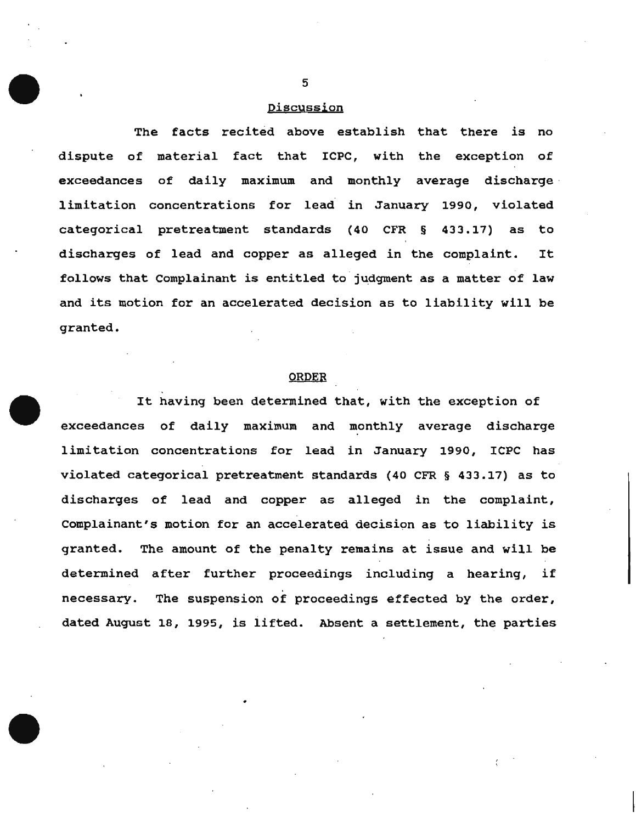### Discussion

The facts recited above establish that there is no dispute of material fact that ICPC, with the exception of exceedances of daily maximum and monthly average discharge limitation concentrations for lead in January 1990, violated categorical pretreatment standards (40 CFR § 433.17) as to discharges of lead and copper as alleged in the complaint. It follows that Complainant is entitled to judgment as a matter of law and its motion for an accelerated decision as to liability will be granted.

# ORDER

It having been determined that, with the exception of exceedances of daily maximum and monthly average discharge limitation concentrations for lead in January 1990, ICPC has violated categorical pretreatment standards (40 CFR § 433.17) as to discharges of lead and copper as alleged in the complaint, complainant's motion for an accelerated decision as to liability is granted. The amount of the penalty remains at issue and will be determined after further proceedings including a hearing, if necessary. The suspension of proceedings effected by the order, dated August 18, 1995, is lifted. Absent a settlement, the parties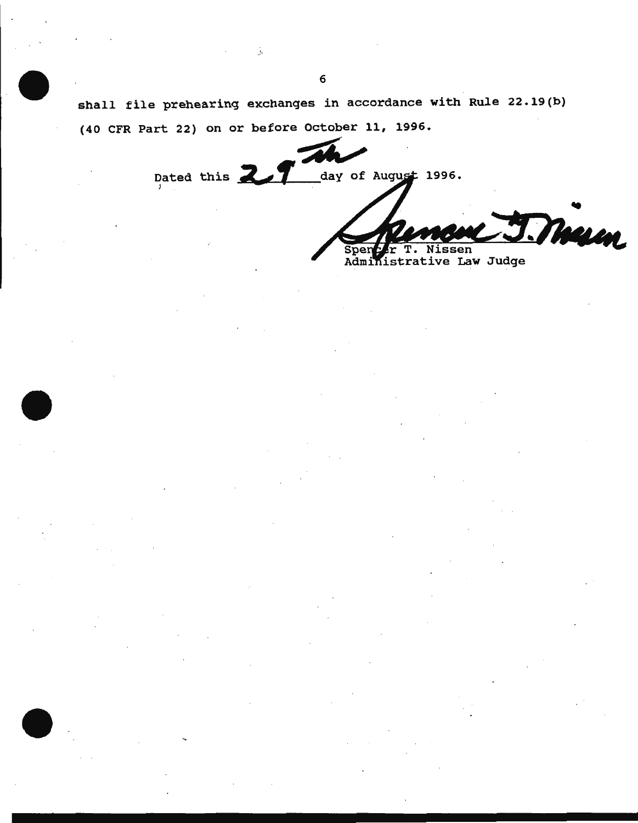shall file prehearing exchanges in accordance with Rule 22.19(b) (40 CFR Part 22) on or before October 11, 1996 •

 $\pi$ Dated this **2.1** day of day of August 1996.

.......................................

--

Mun Spenter T. Nissen<br>Administrative Law Judge